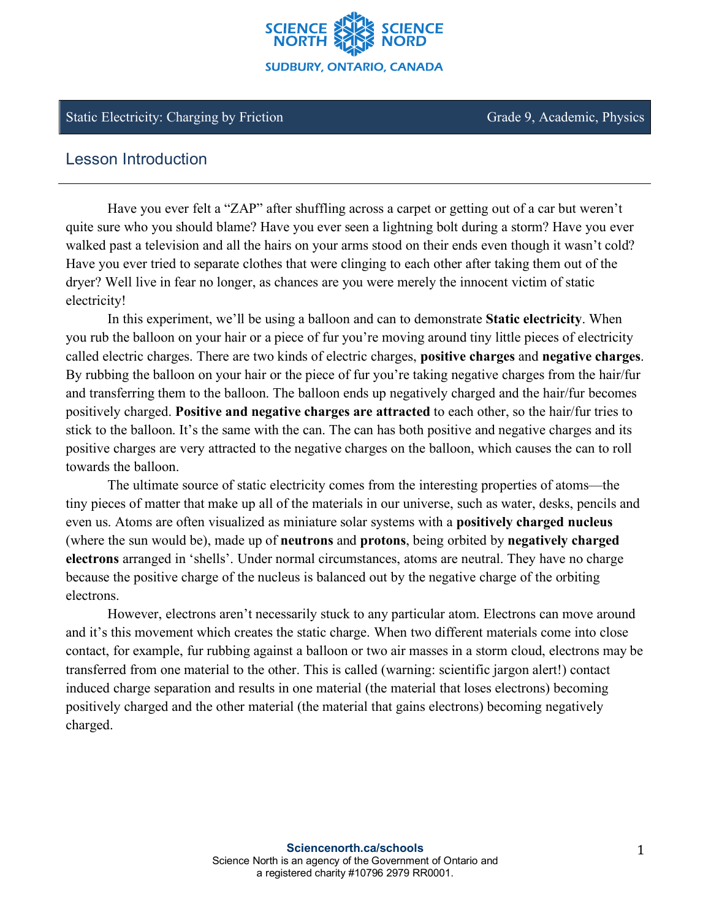

#### Static Electricity: Charging by Friction Grade 9, Academic, Physics

# Lesson Introduction

Have you ever felt a "ZAP" after shuffling across a carpet or getting out of a car but weren't quite sure who you should blame? Have you ever seen a lightning bolt during a storm? Have you ever walked past a television and all the hairs on your arms stood on their ends even though it wasn't cold? Have you ever tried to separate clothes that were clinging to each other after taking them out of the dryer? Well live in fear no longer, as chances are you were merely the innocent victim of static electricity!

In this experiment, we'll be using a balloon and can to demonstrate **Static electricity**. When you rub the balloon on your hair or a piece of fur you're moving around tiny little pieces of electricity called electric charges. There are two kinds of electric charges, **positive charges** and **negative charges**. By rubbing the balloon on your hair or the piece of fur you're taking negative charges from the hair/fur and transferring them to the balloon. The balloon ends up negatively charged and the hair/fur becomes positively charged. **Positive and negative charges are attracted** to each other, so the hair/fur tries to stick to the balloon. It's the same with the can. The can has both positive and negative charges and its positive charges are very attracted to the negative charges on the balloon, which causes the can to roll towards the balloon.

The ultimate source of static electricity comes from the interesting properties of atoms—the tiny pieces of matter that make up all of the materials in our universe, such as water, desks, pencils and even us. Atoms are often visualized as miniature solar systems with a **positively charged nucleus** (where the sun would be), made up of **neutrons** and **protons**, being orbited by **negatively charged electrons** arranged in 'shells'. Under normal circumstances, atoms are neutral. They have no charge because the positive charge of the nucleus is balanced out by the negative charge of the orbiting electrons.

However, electrons aren't necessarily stuck to any particular atom. Electrons can move around and it's this movement which creates the static charge. When two different materials come into close contact, for example, fur rubbing against a balloon or two air masses in a storm cloud, electrons may be transferred from one material to the other. This is called (warning: scientific jargon alert!) contact induced charge separation and results in one material (the material that loses electrons) becoming positively charged and the other material (the material that gains electrons) becoming negatively charged.